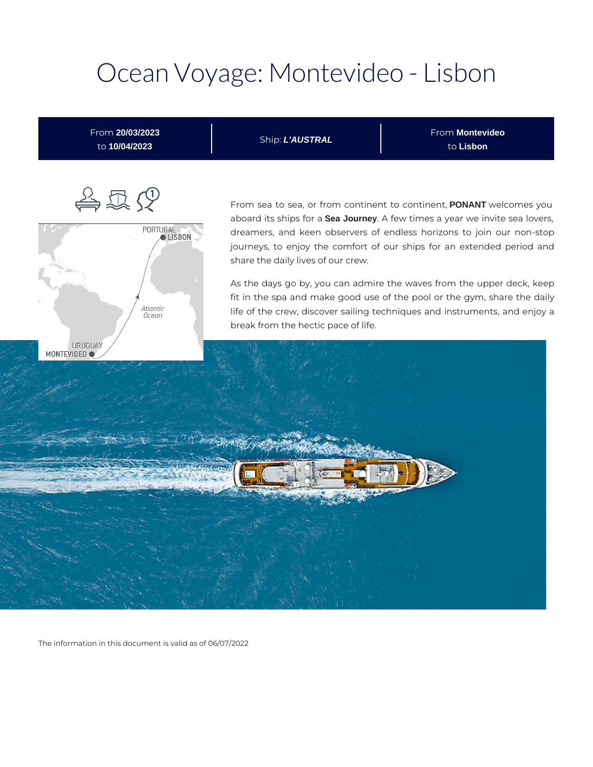# Ocean Voyage: Montevideo - Lisbon



The information in this document is valid as of 06/07/2022